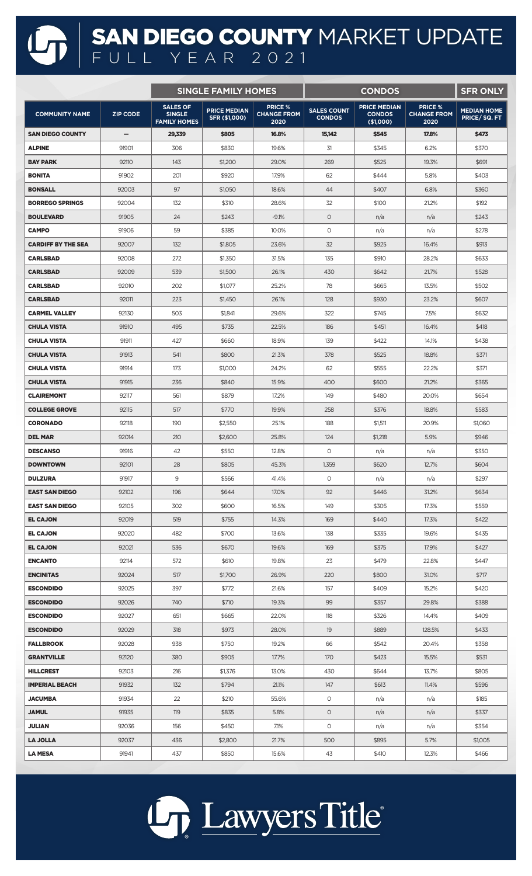## SAN DIEGO COUNTY MARKET UPDATE FULL YEAR 2021

|                           |                   | <b>SINGLE FAMILY HOMES</b>                              |                                      |                                              |                                     | <b>SFR ONLY</b>                                   |                                              |                                   |
|---------------------------|-------------------|---------------------------------------------------------|--------------------------------------|----------------------------------------------|-------------------------------------|---------------------------------------------------|----------------------------------------------|-----------------------------------|
| <b>COMMUNITY NAME</b>     | <b>ZIP CODE</b>   | <b>SALES OF</b><br><b>SINGLE</b><br><b>FAMILY HOMES</b> | <b>PRICE MEDIAN</b><br>SFR (\$1,000) | <b>PRICE %</b><br><b>CHANGE FROM</b><br>2020 | <b>SALES COUNT</b><br><b>CONDOS</b> | <b>PRICE MEDIAN</b><br><b>CONDOS</b><br>(\$1,000) | <b>PRICE %</b><br><b>CHANGE FROM</b><br>2020 | <b>MEDIAN HOME</b><br>PRICE/SQ.FT |
| <b>SAN DIEGO COUNTY</b>   | $\qquad \qquad -$ | 29,339                                                  | \$805                                | 16.8%                                        | 15,142                              | \$545                                             | 17,8%                                        | \$473                             |
| <b>ALPINE</b>             | 91901             | 306                                                     | \$830                                | 19.6%                                        | 31                                  | \$345                                             | 6.2%                                         | \$370                             |
| <b>BAY PARK</b>           | 92110             | 143                                                     | \$1,200                              | 29.0%                                        | 269                                 | \$525                                             | 19.3%                                        | \$691                             |
| <b>BONITA</b>             | 91902             | 201                                                     | \$920                                | 17.9%                                        | 62                                  | \$444                                             | 5.8%                                         | \$403                             |
| <b>BONSALL</b>            | 92003             | 97                                                      | \$1,050                              | 18.6%                                        | 44                                  | \$407                                             | 6.8%                                         | \$360                             |
| <b>BORREGO SPRINGS</b>    | 92004             | 132                                                     | \$310                                | 28.6%                                        | 32                                  | \$100                                             | 21.2%                                        | \$192                             |
| <b>BOULEVARD</b>          | 91905             | 24                                                      | \$243                                | $-9.1%$                                      | $\circ$                             | n/a                                               | n/a                                          | \$243                             |
| <b>CAMPO</b>              | 91906             | 59                                                      | \$385                                | 10.0%                                        | $\circ$                             | n/a                                               | n/a                                          | \$278                             |
| <b>CARDIFF BY THE SEA</b> | 92007             | 132                                                     | \$1,805                              | 23.6%                                        | 32                                  | \$925                                             | 16.4%                                        | \$913                             |
| <b>CARLSBAD</b>           | 92008             | 272                                                     | \$1,350                              | 31.5%                                        | 135                                 | \$910                                             | 28.2%                                        | \$633                             |
| <b>CARLSBAD</b>           | 92009             | 539                                                     | \$1,500                              | 26.1%                                        | 430                                 | \$642                                             | 21.7%                                        | \$528                             |
| <b>CARLSBAD</b>           | 92010             | 202                                                     | \$1,077                              | 25.2%                                        | 78                                  | \$665                                             | 13.5%                                        | \$502                             |
| <b>CARLSBAD</b>           | 92011             | 223                                                     | \$1,450                              | 26.1%                                        | 128                                 | \$930                                             | 23.2%                                        | \$607                             |
| <b>CARMEL VALLEY</b>      | 92130             | 503                                                     | \$1,841                              | 29.6%                                        | 322                                 | \$745                                             | 7.5%                                         | \$632                             |
| <b>CHULA VISTA</b>        | 91910             | 495                                                     | \$735                                | 22.5%                                        | 186                                 | \$451                                             | 16.4%                                        | \$418                             |
| <b>CHULA VISTA</b>        | 91911             | 427                                                     | \$660                                | 18.9%                                        | 139                                 | \$422                                             | 14.1%                                        | \$438                             |
| <b>CHULA VISTA</b>        | 91913             | 541                                                     | \$800                                | 21.3%                                        | 378                                 | \$525                                             | 18.8%                                        | \$371                             |
| <b>CHULA VISTA</b>        | 91914             | 173                                                     | \$1,000                              | 24.2%                                        | 62                                  | \$555                                             | 22.2%                                        | \$371                             |
| <b>CHULA VISTA</b>        | 91915             | 236                                                     | \$840                                | 15.9%                                        | 400                                 | \$600                                             | 21.2%                                        | \$365                             |
| <b>CLAIREMONT</b>         | 92117             | 561                                                     | \$879                                | 17.2%                                        | 149                                 | \$480                                             | 20.0%                                        | \$654                             |
| <b>COLLEGE GROVE</b>      | 92115             | 517                                                     | \$770                                | 19.9%                                        | 258                                 | \$376                                             | 18.8%                                        | \$583                             |
| <b>CORONADO</b>           | 92118             | 190                                                     | \$2,550                              | 25.1%                                        | 188                                 | \$1,511                                           | 20.9%                                        | \$1,060                           |
| <b>DEL MAR</b>            | 92014             | 210                                                     | \$2,600                              | 25.8%                                        | 124                                 | \$1,218                                           | 5.9%                                         | \$946                             |
| <b>DESCANSO</b>           | 91916             | 42                                                      | \$550                                | 12.8%                                        | 0                                   | n/a                                               | n/a                                          | \$350                             |
| <b>DOWNTOWN</b>           | 92101             | 28                                                      | \$805                                | 45.3%                                        | 1,359                               | \$620                                             | 12.7%                                        | \$604                             |
| <b>DULZURA</b>            | 91917             | 9                                                       | \$566                                | 41.4%                                        | $\circ$                             | n/a                                               | n/a                                          | \$297                             |
| <b>EAST SAN DIEGO</b>     | 92102             | 196                                                     | \$644                                | 17.0%                                        | 92                                  | \$446                                             | 31.2%                                        | \$634                             |
| <b>EAST SAN DIEGO</b>     | 92105             | 302                                                     | \$600                                | 16.5%                                        | 149                                 | \$305                                             | 17.3%                                        | \$559                             |
| <b>EL CAJON</b>           | 92019             | 519                                                     | \$755                                | 14.3%                                        | 169                                 | \$440                                             | 17.3%                                        | \$422                             |
| <b>EL CAJON</b>           | 92020             | 482                                                     | \$700                                | 13.6%                                        | 138                                 | \$335                                             | 19.6%                                        | \$435                             |
| <b>EL CAJON</b>           | 92021             | 536                                                     | \$670                                | 19.6%                                        | 169                                 | \$375                                             | 17.9%                                        | \$427                             |
| <b>ENCANTO</b>            | 92114             | 572                                                     | \$610                                | 19.8%                                        | 23                                  | \$479                                             | 22.8%                                        | \$447                             |
| <b>ENCINITAS</b>          | 92024             | 517                                                     | \$1,700                              | 26.9%                                        | 220                                 | \$800                                             | 31.0%                                        | \$717                             |
| <b>ESCONDIDO</b>          | 92025             | 397                                                     | \$772                                | 21.6%                                        | 157                                 | \$409                                             | 15.2%                                        | \$420                             |
| <b>ESCONDIDO</b>          | 92026             | 740                                                     | \$710                                | 19.3%                                        | 99                                  | \$357                                             | 29.8%                                        | \$388                             |
| <b>ESCONDIDO</b>          | 92027             | 651                                                     | \$665                                | 22.0%                                        | 118                                 | \$326                                             | 14.4%                                        | \$409                             |
| <b>ESCONDIDO</b>          | 92029             | 318                                                     | \$973                                | 28.0%                                        | 19                                  | \$889                                             | 128.5%                                       | \$433                             |
| <b>FALLBROOK</b>          | 92028             | 938                                                     | \$750                                | 19.2%                                        | 66                                  | \$542                                             | 20.4%                                        | \$358                             |
| <b>GRANTVILLE</b>         | 92120             | 380                                                     | \$905                                | 17.7%                                        | 170                                 | \$423                                             | 15.5%                                        | \$531                             |
| <b>HILLCREST</b>          | 92103             | 216                                                     | \$1,376                              | 13.0%                                        | 430                                 | \$644                                             | 13.7%                                        | \$805                             |
| <b>IMPERIAL BEACH</b>     | 91932             | 132                                                     | \$794                                | 21.1%                                        | 147                                 | \$613                                             | 11.4%                                        | \$596                             |
| <b>JACUMBA</b>            | 91934             | 22                                                      | \$210                                | 55.6%                                        | $\circ$                             | n/a                                               | n/a                                          | \$185                             |
| <b>JAMUL</b>              | 91935             | 119                                                     | \$835                                | 5.8%                                         | $\circ$                             | n/a                                               | n/a                                          | \$337                             |
| JULIAN                    | 92036             | 156                                                     | \$450                                | 7.1%                                         | 0                                   | n/a                                               | n/a                                          | \$354                             |
| <b>LA JOLLA</b>           | 92037             | 436                                                     | \$2,800                              | 21.7%                                        | 500                                 | \$895                                             | 5.7%                                         | \$1,005                           |
| <b>LA MESA</b>            | 91941             | 437                                                     | \$850                                | 15.6%                                        | 43                                  | \$410                                             | 12.3%                                        | \$466                             |